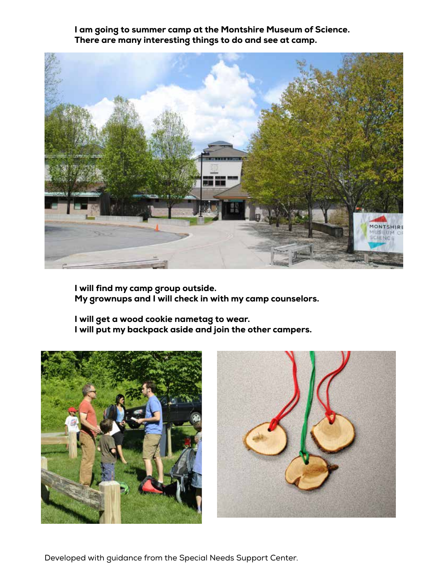I am going to summer camp at the Montshire Museum of Science. There are many interesting things to do and see at camp.



I will find my camp group outside. My grownups and I will check in with my camp counselors.

I will get a wood cookie nametag to wear. I will put my backpack aside and join the other campers.





Developed with guidance from the Special Needs Support Center.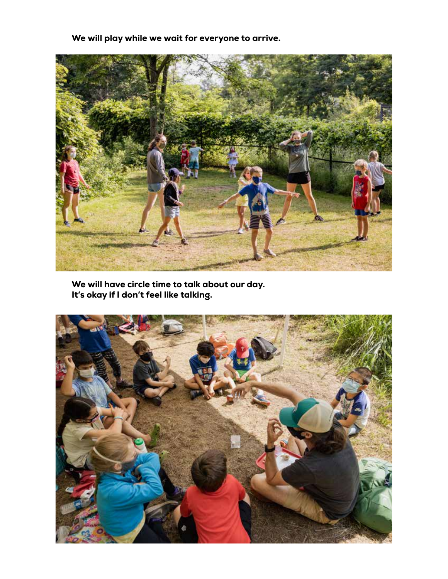We will play while we wait for everyone to arrive.



We will have circle time to talk about our day. It's okay if I don't feel like talking.

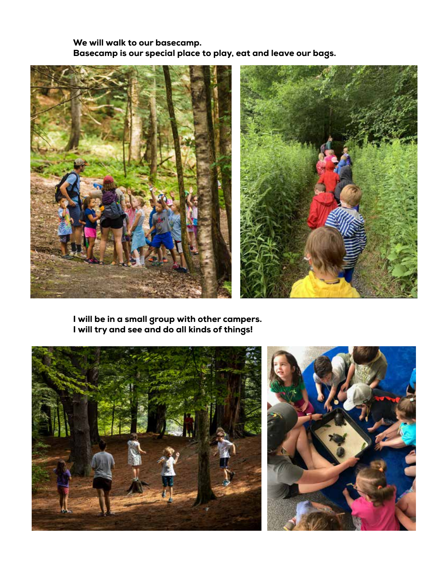We will walk to our basecamp. Basecamp is our special place to play, eat and leave our bags.





I will be in a small group with other campers. I will try and see and do all kinds of things!

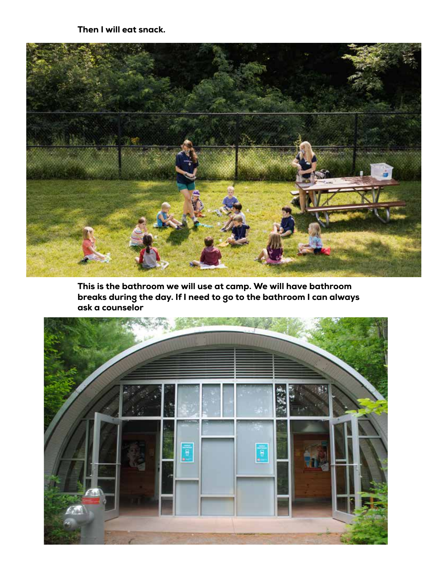Then I will eat snack.



This is the bathroom we will use at camp. We will have bathroom breaks during the day. If I need to go to the bathroom I can always ask a counselor

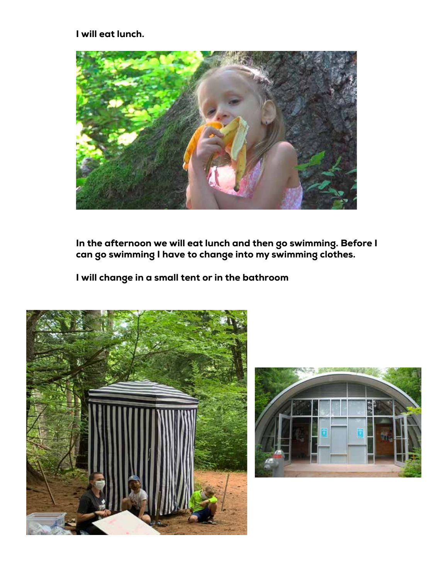I will eat lunch.



In the afternoon we will eat lunch and then go swimming. Before I can go swimming I have to change into my swimming clothes.

I will change in a small tent or in the bathroom



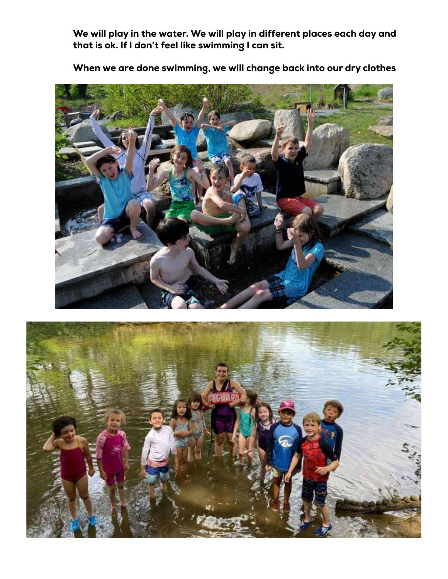We will play in the water. We will play in different places each day and that is ok. If I don't feel like swimming I can sit.



When we are done swimming, we will change back into our dry clothes

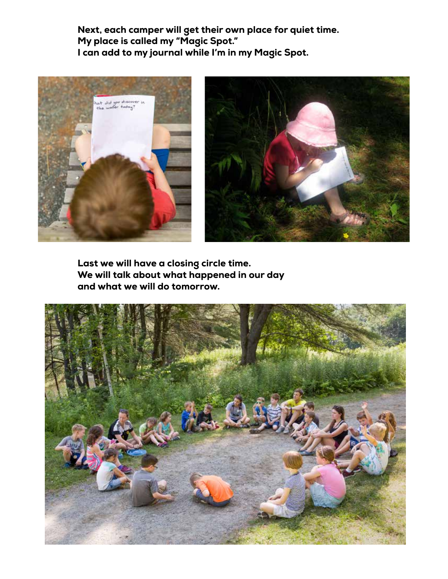Next, each camper will get their own place for quiet time. My place is called my "Magic Spot." I can add to my journal while I'm in my Magic Spot.





Last we will have a closing circle time. We will talk about what happened in our day and what we will do tomorrow.